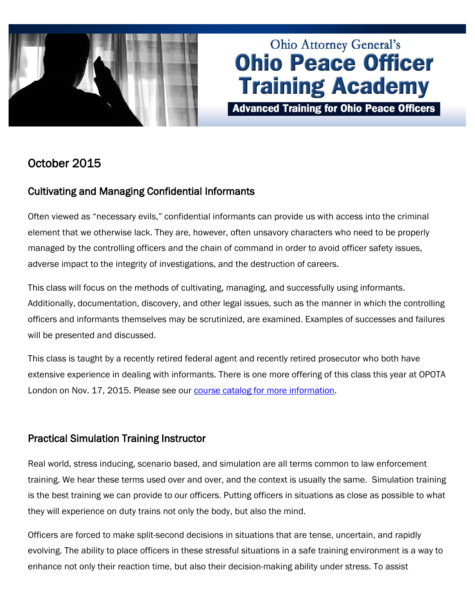

# **Ohio Attorney General's Ohio Peace Officer Training Academy**

**Advanced Training for Ohio Peace Officers** 

## October 2015

## Cultivating and Managing Confidential Informants

Often viewed as "necessary evils," confidential informants can provide us with access into the criminal element that we otherwise lack. They are, however, often unsavory characters who need to be properly managed by the controlling officers and the chain of command in order to avoid officer safety issues, adverse impact to the integrity of investigations, and the destruction of careers.

This class will focus on the methods of cultivating, managing, and successfully using informants. Additionally, documentation, discovery, and other legal issues, such as the manner in which the controlling officers and informants themselves may be scrutinized, are examined. Examples of successes and failures will be presented and discussed.

This class is taught by a recently retired federal agent and recently retired prosecutor who both have extensive experience in dealing with informants. There is one more offering of this class this year at OPOTA London on Nov. 17, 2015. Please see our [course catalog for more information.](http://www.ohioattorneygeneral.gov/Law-Enforcement/Ohio-Peace-Officer-Training-Academy/Course-Catalog/Course-Categories/Investigations-Courses#OPOTA700)

## Practical Simulation Training Instructor

Real world, stress inducing, scenario based, and simulation are all terms common to law enforcement training. We hear these terms used over and over, and the context is usually the same. Simulation training is the best training we can provide to our officers. Putting officers in situations as close as possible to what they will experience on duty trains not only the body, but also the mind.

Officers are forced to make split-second decisions in situations that are tense, uncertain, and rapidly evolving. The ability to place officers in these stressful situations in a safe training environment is a way to enhance not only their reaction time, but also their decision-making ability under stress. To assist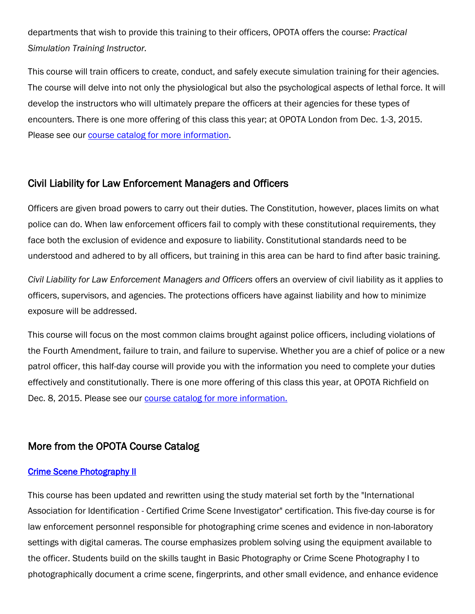departments that wish to provide this training to their officers, OPOTA offers the course: *Practical Simulation Training Instructor.*

This course will train officers to create, conduct, and safely execute simulation training for their agencies. The course will delve into not only the physiological but also the psychological aspects of lethal force. It will develop the instructors who will ultimately prepare the officers at their agencies for these types of encounters. There is one more offering of this class this year; at OPOTA London from Dec. 1-3, 2015. Please see our [course catalog for more information.](http://www.ohioattorneygeneral.gov/Law-Enforcement/Ohio-Peace-Officer-Training-Academy/Course-Catalog/Course-Categories/Instructor-Training-Courses#OPOTA471)

### Civil Liability for Law Enforcement Managers and Officers

Officers are given broad powers to carry out their duties. The Constitution, however, places limits on what police can do. When law enforcement officers fail to comply with these constitutional requirements, they face both the exclusion of evidence and exposure to liability. Constitutional standards need to be understood and adhered to by all officers, but training in this area can be hard to find after basic training.

*Civil Liability for Law Enforcement Managers and Officers* offers an overview of civil liability as it applies to officers, supervisors, and agencies. The protections officers have against liability and how to minimize exposure will be addressed.

This course will focus on the most common claims brought against police officers, including violations of the Fourth Amendment, failure to train, and failure to supervise. Whether you are a chief of police or a new patrol officer, this half-day course will provide you with the information you need to complete your duties effectively and constitutionally. There is one more offering of this class this year, at OPOTA Richfield on Dec. 8, 2015. Please see our [course catalog for more information.](http://www.ohioattorneygeneral.gov/Law-Enforcement/Ohio-Peace-Officer-Training-Academy/Course-Catalog/Course-Categories/Legal-Courses#OPOTA70)

## More from the OPOTA Course Catalog

#### **Crime Scene Photography II**

This course has been updated and rewritten using the study material set forth by the "International Association for Identification - Certified Crime Scene Investigator" certification. This five-day course is for law enforcement personnel responsible for photographing crime scenes and evidence in non-laboratory settings with digital cameras. The course emphasizes problem solving using the equipment available to the officer. Students build on the skills taught in Basic Photography or Crime Scene Photography I to photographically document a crime scene, fingerprints, and other small evidence, and enhance evidence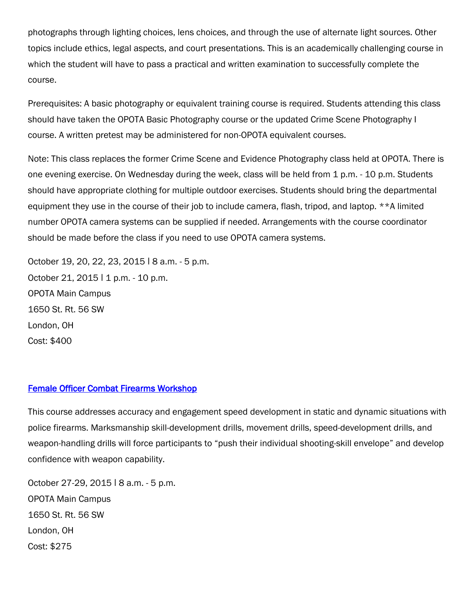photographs through lighting choices, lens choices, and through the use of alternate light sources. Other topics include ethics, legal aspects, and court presentations. This is an academically challenging course in which the student will have to pass a practical and written examination to successfully complete the course.

Prerequisites: A basic photography or equivalent training course is required. Students attending this class should have taken the OPOTA Basic Photography course or the updated Crime Scene Photography I course. A written pretest may be administered for non-OPOTA equivalent courses.

Note: This class replaces the former Crime Scene and Evidence Photography class held at OPOTA. There is one evening exercise. On Wednesday during the week, class will be held from 1 p.m. - 10 p.m. Students should have appropriate clothing for multiple outdoor exercises. Students should bring the departmental equipment they use in the course of their job to include camera, flash, tripod, and laptop. \*\*A limited number OPOTA camera systems can be supplied if needed. Arrangements with the course coordinator should be made before the class if you need to use OPOTA camera systems.

October 19, 20, 22, 23, 2015 ǀ 8 a.m. - 5 p.m. October 21, 2015 | 1 p.m. - 10 p.m. OPOTA Main Campus 1650 St. Rt. 56 SW London, OH Cost: \$400

#### [Female Officer Combat Firearms Workshop](http://www.ohioattorneygeneral.gov/Law-Enforcement/Ohio-Peace-Officer-Training-Academy/Course-Catalog/Course-Categories/Firearms-Courses#OPOTA503)

This course addresses accuracy and engagement speed development in static and dynamic situations with police firearms. Marksmanship skill-development drills, movement drills, speed-development drills, and weapon-handling drills will force participants to "push their individual shooting-skill envelope" and develop confidence with weapon capability.

October 27-29, 2015 ǀ 8 a.m. - 5 p.m. OPOTA Main Campus 1650 St. Rt. 56 SW London, OH Cost: \$275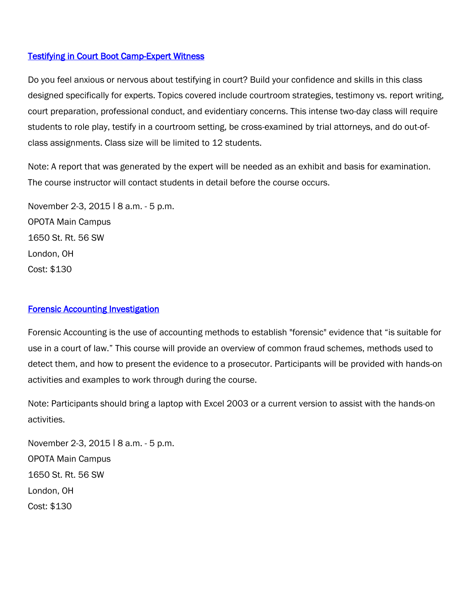#### [Testifying in Court Boot Camp-Expert Witness](http://www.ohioattorneygeneral.gov/Law-Enforcement/Ohio-Peace-Officer-Training-Academy/Course-Catalog/Course-Categories/Legal-Courses#OPOTA490)

Do you feel anxious or nervous about testifying in court? Build your confidence and skills in this class designed specifically for experts. Topics covered include courtroom strategies, testimony vs. report writing, court preparation, professional conduct, and evidentiary concerns. This intense two-day class will require students to role play, testify in a courtroom setting, be cross-examined by trial attorneys, and do out-ofclass assignments. Class size will be limited to 12 students.

Note: A report that was generated by the expert will be needed as an exhibit and basis for examination. The course instructor will contact students in detail before the course occurs.

November 2-3, 2015 | 8 a.m. - 5 p.m. OPOTA Main Campus 1650 St. Rt. 56 SW London, OH Cost: \$130

#### [Forensic Accounting Investigation](http://www.ohioattorneygeneral.gov/Law-Enforcement/Ohio-Peace-Officer-Training-Academy/Course-Catalog/Course-Categories/Investigations-Courses#OPOTA83)

Forensic Accounting is the use of accounting methods to establish "forensic" evidence that "is suitable for use in a court of law." This course will provide an overview of common fraud schemes, methods used to detect them, and how to present the evidence to a prosecutor. Participants will be provided with hands-on activities and examples to work through during the course.

Note: Participants should bring a laptop with Excel 2003 or a current version to assist with the hands-on activities.

November 2-3, 2015 | 8 a.m. - 5 p.m. OPOTA Main Campus 1650 St. Rt. 56 SW London, OH Cost: \$130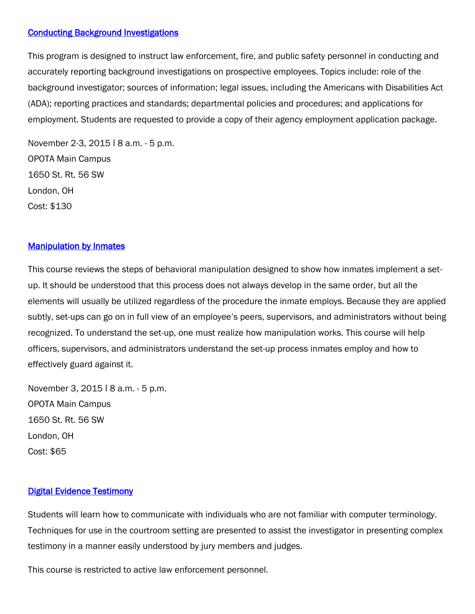#### [Conducting Background Investigations](http://www.ohioattorneygeneral.gov/Law-Enforcement/Ohio-Peace-Officer-Training-Academy/Course-Catalog/Course-Categories/Investigations-Courses/Conducting-Background-Investigations)

This program is designed to instruct law enforcement, fire, and public safety personnel in conducting and accurately reporting background investigations on prospective employees. Topics include: role of the background investigator; sources of information; legal issues, including the Americans with Disabilities Act (ADA); reporting practices and standards; departmental policies and procedures; and applications for employment. Students are requested to provide a copy of their agency employment application package.

November 2-3, 2015 | 8 a.m. - 5 p.m. OPOTA Main Campus 1650 St. Rt. 56 SW London, OH Cost: \$130

#### **Manipulation by Inmates**

This course reviews the steps of behavioral manipulation designed to show how inmates implement a setup. It should be understood that this process does not always develop in the same order, but all the elements will usually be utilized regardless of the procedure the inmate employs. Because they are applied subtly, set-ups can go on in full view of an employee's peers, supervisors, and administrators without being recognized. To understand the set-up, one must realize how manipulation works. This course will help officers, supervisors, and administrators understand the set-up process inmates employ and how to effectively guard against it.

November 3, 2015 | 8 a.m. - 5 p.m. OPOTA Main Campus 1650 St. Rt. 56 SW London, OH Cost: \$65

#### [Digital Evidence Testimony](http://www.ohioattorneygeneral.gov/Law-Enforcement/Ohio-Peace-Officer-Training-Academy/Course-Catalog/Course-Categories/Computer-Courses#OPOTA240)

Students will learn how to communicate with individuals who are not familiar with computer terminology. Techniques for use in the courtroom setting are presented to assist the investigator in presenting complex testimony in a manner easily understood by jury members and judges.

This course is restricted to active law enforcement personnel.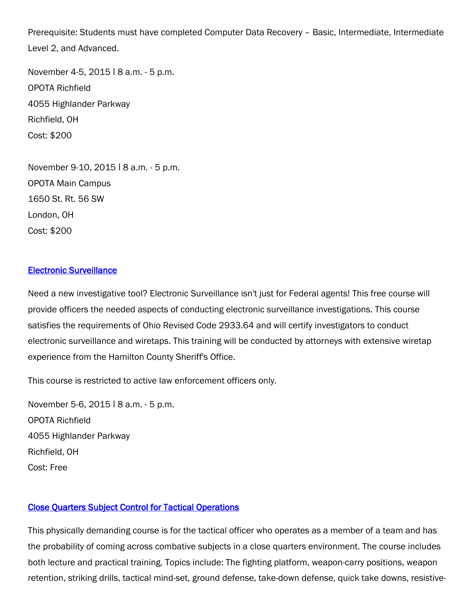Prerequisite: Students must have completed Computer Data Recovery – Basic, Intermediate, Intermediate Level 2, and Advanced.

November 4-5, 2015 | 8 a.m. - 5 p.m. OPOTA Richfield 4055 Highlander Parkway Richfield, OH Cost: \$200

November 9-10, 2015 | 8 a.m. - 5 p.m. OPOTA Main Campus 1650 St. Rt. 56 SW London, OH Cost: \$200

#### [Electronic Surveillance](http://www.ohioattorneygeneral.gov/Law-Enforcement/Ohio-Peace-Officer-Training-Academy/Course-Catalog/Course-Categories/Investigations-Courses#OPOTA69)

Need a new investigative tool? Electronic Surveillance isn't just for Federal agents! This free course will provide officers the needed aspects of conducting electronic surveillance investigations. This course satisfies the requirements of Ohio Revised Code 2933.64 and will certify investigators to conduct electronic surveillance and wiretaps. This training will be conducted by attorneys with extensive wiretap experience from the Hamilton County Sheriff's Office.

This course is restricted to active law enforcement officers only.

November 5-6, 2015 | 8 a.m. - 5 p.m. OPOTA Richfield 4055 Highlander Parkway Richfield, OH Cost: Free

#### [Close Quarters Subject Control for Tactical Operations](http://www.ohioattorneygeneral.gov/Law-Enforcement/Ohio-Peace-Officer-Training-Academy/Course-Catalog/Course-Categories/Special-Operations-Courses#OPOTA714)

This physically demanding course is for the tactical officer who operates as a member of a team and has the probability of coming across combative subjects in a close quarters environment. The course includes both lecture and practical training. Topics include: The fighting platform, weapon-carry positions, weapon retention, striking drills, tactical mind-set, ground defense, take-down defense, quick take downs, resistive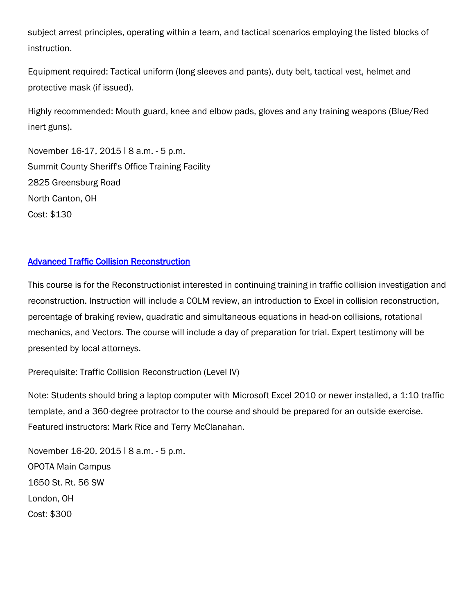subject arrest principles, operating within a team, and tactical scenarios employing the listed blocks of instruction.

Equipment required: Tactical uniform (long sleeves and pants), duty belt, tactical vest, helmet and protective mask (if issued).

Highly recommended: Mouth guard, knee and elbow pads, gloves and any training weapons (Blue/Red inert guns).

November 16-17, 2015 | 8 a.m. - 5 p.m. Summit County Sheriff's Office Training Facility 2825 Greensburg Road North Canton, OH Cost: \$130

#### [Advanced Traffic Collision Reconstruction](http://www.ohioattorneygeneral.gov/Law-Enforcement/Ohio-Peace-Officer-Training-Academy/Course-Catalog/Course-Categories/Traffic-Courses#OPOTA507)

This course is for the Reconstructionist interested in continuing training in traffic collision investigation and reconstruction. Instruction will include a COLM review, an introduction to Excel in collision reconstruction, percentage of braking review, quadratic and simultaneous equations in head-on collisions, rotational mechanics, and Vectors. The course will include a day of preparation for trial. Expert testimony will be presented by local attorneys.

Prerequisite: Traffic Collision Reconstruction (Level IV)

Note: Students should bring a laptop computer with Microsoft Excel 2010 or newer installed, a 1:10 traffic template, and a 360-degree protractor to the course and should be prepared for an outside exercise. Featured instructors: Mark Rice and Terry McClanahan.

November 16-20, 2015 | 8 a.m. - 5 p.m. OPOTA Main Campus 1650 St. Rt. 56 SW London, OH Cost: \$300